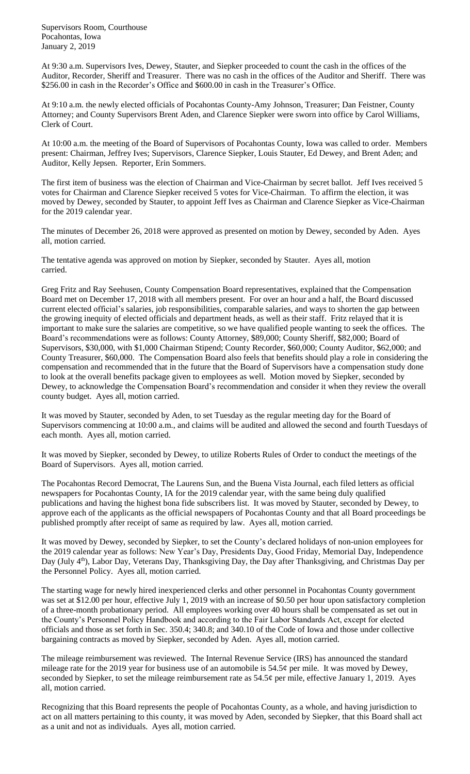Supervisors Room, Courthouse Pocahontas, Iowa January 2, 2019

At 9:30 a.m. Supervisors Ives, Dewey, Stauter, and Siepker proceeded to count the cash in the offices of the Auditor, Recorder, Sheriff and Treasurer. There was no cash in the offices of the Auditor and Sheriff. There was \$256.00 in cash in the Recorder's Office and \$600.00 in cash in the Treasurer's Office.

At 9:10 a.m. the newly elected officials of Pocahontas County-Amy Johnson, Treasurer; Dan Feistner, County Attorney; and County Supervisors Brent Aden, and Clarence Siepker were sworn into office by Carol Williams, Clerk of Court.

At 10:00 a.m. the meeting of the Board of Supervisors of Pocahontas County, Iowa was called to order. Members present: Chairman, Jeffrey Ives; Supervisors, Clarence Siepker, Louis Stauter, Ed Dewey, and Brent Aden; and Auditor, Kelly Jepsen. Reporter, Erin Sommers.

The first item of business was the election of Chairman and Vice-Chairman by secret ballot. Jeff Ives received 5 votes for Chairman and Clarence Siepker received 5 votes for Vice-Chairman. To affirm the election, it was moved by Dewey, seconded by Stauter, to appoint Jeff Ives as Chairman and Clarence Siepker as Vice-Chairman for the 2019 calendar year.

The minutes of December 26, 2018 were approved as presented on motion by Dewey, seconded by Aden. Ayes all, motion carried.

The tentative agenda was approved on motion by Siepker, seconded by Stauter. Ayes all, motion carried.

Greg Fritz and Ray Seehusen, County Compensation Board representatives, explained that the Compensation Board met on December 17, 2018 with all members present. For over an hour and a half, the Board discussed current elected official's salaries, job responsibilities, comparable salaries, and ways to shorten the gap between the growing inequity of elected officials and department heads, as well as their staff. Fritz relayed that it is important to make sure the salaries are competitive, so we have qualified people wanting to seek the offices. The Board's recommendations were as follows: County Attorney, \$89,000; County Sheriff, \$82,000; Board of Supervisors, \$30,000, with \$1,000 Chairman Stipend; County Recorder, \$60,000; County Auditor, \$62,000; and County Treasurer, \$60,000. The Compensation Board also feels that benefits should play a role in considering the compensation and recommended that in the future that the Board of Supervisors have a compensation study done to look at the overall benefits package given to employees as well. Motion moved by Siepker, seconded by Dewey, to acknowledge the Compensation Board's recommendation and consider it when they review the overall county budget. Ayes all, motion carried.

It was moved by Stauter, seconded by Aden, to set Tuesday as the regular meeting day for the Board of Supervisors commencing at 10:00 a.m., and claims will be audited and allowed the second and fourth Tuesdays of each month. Ayes all, motion carried.

It was moved by Siepker, seconded by Dewey, to utilize Roberts Rules of Order to conduct the meetings of the Board of Supervisors. Ayes all, motion carried.

The Pocahontas Record Democrat, The Laurens Sun, and the Buena Vista Journal, each filed letters as official newspapers for Pocahontas County, IA for the 2019 calendar year, with the same being duly qualified publications and having the highest bona fide subscribers list. It was moved by Stauter, seconded by Dewey, to approve each of the applicants as the official newspapers of Pocahontas County and that all Board proceedings be published promptly after receipt of same as required by law. Ayes all, motion carried.

It was moved by Dewey, seconded by Siepker, to set the County's declared holidays of non-union employees for the 2019 calendar year as follows: New Year's Day, Presidents Day, Good Friday, Memorial Day, Independence Day (July 4<sup>th</sup>), Labor Day, Veterans Day, Thanksgiving Day, the Day after Thanksgiving, and Christmas Day per the Personnel Policy. Ayes all, motion carried.

The starting wage for newly hired inexperienced clerks and other personnel in Pocahontas County government was set at \$12.00 per hour, effective July 1, 2019 with an increase of \$0.50 per hour upon satisfactory completion of a three-month probationary period. All employees working over 40 hours shall be compensated as set out in the County's Personnel Policy Handbook and according to the Fair Labor Standards Act, except for elected officials and those as set forth in Sec. 350.4; 340.8; and 340.10 of the Code of Iowa and those under collective bargaining contracts as moved by Siepker, seconded by Aden. Ayes all, motion carried.

The mileage reimbursement was reviewed. The Internal Revenue Service (IRS) has announced the standard mileage rate for the 2019 year for business use of an automobile is 54.5¢ per mile. It was moved by Dewey, seconded by Siepker, to set the mileage reimbursement rate as  $54.5¢$  per mile, effective January 1, 2019. Ayes all, motion carried.

Recognizing that this Board represents the people of Pocahontas County, as a whole, and having jurisdiction to act on all matters pertaining to this county, it was moved by Aden, seconded by Siepker, that this Board shall act as a unit and not as individuals. Ayes all, motion carried.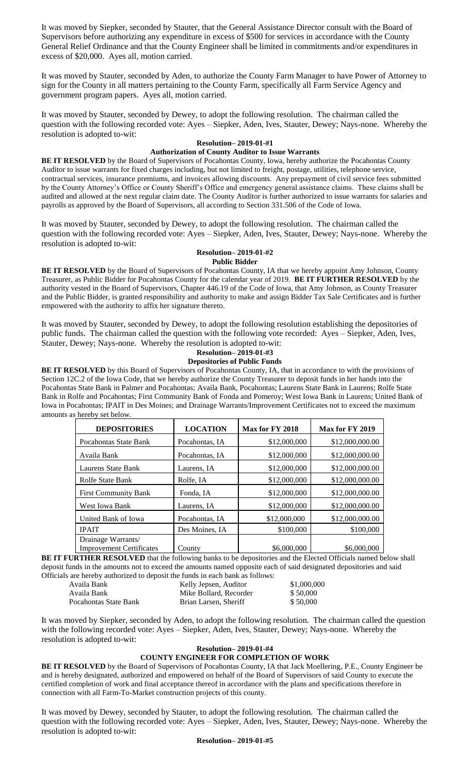It was moved by Siepker, seconded by Stauter, that the General Assistance Director consult with the Board of Supervisors before authorizing any expenditure in excess of \$500 for services in accordance with the County General Relief Ordinance and that the County Engineer shall be limited in commitments and/or expenditures in excess of \$20,000. Ayes all, motion carried.

It was moved by Stauter, seconded by Aden, to authorize the County Farm Manager to have Power of Attorney to sign for the County in all matters pertaining to the County Farm, specifically all Farm Service Agency and government program papers. Ayes all, motion carried.

It was moved by Stauter, seconded by Dewey, to adopt the following resolution. The chairman called the question with the following recorded vote: Ayes – Siepker, Aden, Ives, Stauter, Dewey; Nays-none. Whereby the resolution is adopted to-wit:

# **Resolution– 2019-01-#1**

## **Authorization of County Auditor to Issue Warrants**

**BE IT RESOLVED** by the Board of Supervisors of Pocahontas County, Iowa, hereby authorize the Pocahontas County Auditor to issue warrants for fixed charges including, but not limited to freight, postage, utilities, telephone service, contractual services, insurance premiums, and invoices allowing discounts. Any prepayment of civil service fees submitted by the County Attorney's Office or County Sheriff's Office and emergency general assistance claims. These claims shall be audited and allowed at the next regular claim date. The County Auditor is further authorized to issue warrants for salaries and payrolls as approved by the Board of Supervisors, all according to Section 331.506 of the Code of Iowa.

It was moved by Stauter, seconded by Dewey, to adopt the following resolution. The chairman called the question with the following recorded vote: Ayes – Siepker, Aden, Ives, Stauter, Dewey; Nays-none. Whereby the resolution is adopted to-wit:

## **Resolution– 2019-01-#2**

**Public Bidder**

BE IT RESOLVED by the Board of Supervisors of Pocahontas County, IA that we hereby appoint Amy Johnson, County Treasurer, as Public Bidder for Pocahontas County for the calendar year of 2019. **BE IT FURTHER RESOLVED** by the authority vested in the Board of Supervisors, Chapter 446.19 of the Code of Iowa, that Amy Johnson, as County Treasurer and the Public Bidder, is granted responsibility and authority to make and assign Bidder Tax Sale Certificates and is further empowered with the authority to affix her signature thereto.

It was moved by Stauter, seconded by Dewey, to adopt the following resolution establishing the depositories of public funds. The chairman called the question with the following vote recorded: Ayes – Siepker, Aden, Ives, Stauter, Dewey; Nays-none. Whereby the resolution is adopted to-wit:

## **Resolution– 2019-01-#3**

## **Depositories of Public Funds**

**BE IT RESOLVED** by this Board of Supervisors of Pocahontas County, IA, that in accordance to with the provisions of Section 12C.2 of the Iowa Code, that we hereby authorize the County Treasurer to deposit funds in her hands into the Pocahontas State Bank in Palmer and Pocahontas; Availa Bank, Pocahontas; Laurens State Bank in Laurens; Rolfe State Bank in Rolfe and Pocahontas; First Community Bank of Fonda and Pomeroy; West Iowa Bank in Laurens; United Bank of Iowa in Pocahontas; IPAIT in Des Moines; and Drainage Warrants/Improvement Certificates not to exceed the maximum amounts as hereby set below.

| <b>DEPOSITORIES</b>                                   | <b>LOCATION</b> | Max for FY 2018 | Max for FY 2019 |
|-------------------------------------------------------|-----------------|-----------------|-----------------|
| Pocahontas State Bank                                 | Pocahontas, IA  | \$12,000,000    | \$12,000,000.00 |
| Availa Bank                                           | Pocahontas, IA  | \$12,000,000    | \$12,000,000.00 |
| Laurens State Bank                                    | Laurens, IA     | \$12,000,000    | \$12,000,000.00 |
| <b>Rolfe State Bank</b>                               | Rolfe, IA       | \$12,000,000    | \$12,000,000.00 |
| <b>First Community Bank</b>                           | Fonda, IA       | \$12,000,000    | \$12,000,000.00 |
| West Iowa Bank                                        | Laurens, IA     | \$12,000,000    | \$12,000,000.00 |
| United Bank of Iowa                                   | Pocahontas, IA  | \$12,000,000    | \$12,000,000.00 |
| <b>IPAIT</b>                                          | Des Moines, IA  | \$100,000       | \$100,000       |
| Drainage Warrants/<br><b>Improvement Certificates</b> | County          | \$6,000,000     | \$6,000,000     |

**BE IT FURTHER RESOLVED** that the following banks to be depositories and the Elected Officials named below shall deposit funds in the amounts not to exceed the amounts named opposite each of said designated depositories and said Officials are hereby authorized to deposit the funds in each bank as follows:

|                       | as are nereby authorized to deposit the runds in each bank as follows. |             |
|-----------------------|------------------------------------------------------------------------|-------------|
| Availa Bank           | Kelly Jepsen, Auditor                                                  | \$1,000,000 |
| Availa Bank           | Mike Bollard, Recorder                                                 | \$50,000    |
| Pocahontas State Bank | Brian Larsen, Sheriff                                                  | \$50,000    |
|                       |                                                                        |             |

It was moved by Siepker, seconded by Aden, to adopt the following resolution. The chairman called the question with the following recorded vote: Ayes – Siepker, Aden, Ives, Stauter, Dewey; Nays-none. Whereby the resolution is adopted to-wit:

### **Resolution– 2019-01-#4**

## **COUNTY ENGINEER FOR COMPLETION OF WORK**

**BE IT RESOLVED** by the Board of Supervisors of Pocahontas County, IA that Jack Moellering, P.E., County Engineer be and is hereby designated, authorized and empowered on behalf of the Board of Supervisors of said County to execute the certified completion of work and final acceptance thereof in accordance with the plans and specifications therefore in connection with all Farm-To-Market construction projects of this county.

It was moved by Dewey, seconded by Stauter, to adopt the following resolution. The chairman called the question with the following recorded vote: Ayes – Siepker, Aden, Ives, Stauter, Dewey; Nays-none. Whereby the resolution is adopted to-wit:

#### **Resolution– 2019-01-#5**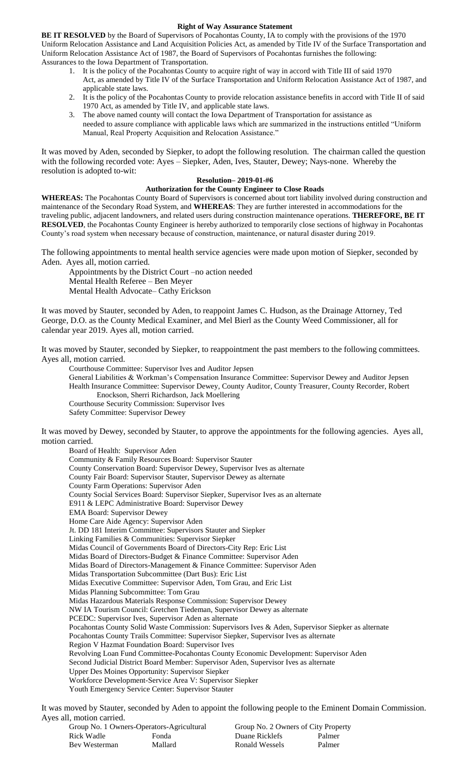#### **Right of Way Assurance Statement**

**BE IT RESOLVED** by the Board of Supervisors of Pocahontas County, IA to comply with the provisions of the 1970 Uniform Relocation Assistance and Land Acquisition Policies Act, as amended by Title IV of the Surface Transportation and Uniform Relocation Assistance Act of 1987, the Board of Supervisors of Pocahontas furnishes the following: Assurances to the Iowa Department of Transportation.

- 1. It is the policy of the Pocahontas County to acquire right of way in accord with Title III of said 1970 Act, as amended by Title IV of the Surface Transportation and Uniform Relocation Assistance Act of 1987, and applicable state laws.
- 2. It is the policy of the Pocahontas County to provide relocation assistance benefits in accord with Title II of said 1970 Act, as amended by Title IV, and applicable state laws.
- 3. The above named county will contact the Iowa Department of Transportation for assistance as needed to assure compliance with applicable laws which are summarized in the instructions entitled "Uniform Manual, Real Property Acquisition and Relocation Assistance."

It was moved by Aden, seconded by Siepker, to adopt the following resolution. The chairman called the question with the following recorded vote: Ayes – Siepker, Aden, Ives, Stauter, Dewey; Nays-none. Whereby the resolution is adopted to-wit:

## **Resolution– 2019-01-#6**

## **Authorization for the County Engineer to Close Roads**

**WHEREAS:** The Pocahontas County Board of Supervisors is concerned about tort liability involved during construction and maintenance of the Secondary Road System, and **WHEREAS**: They are further interested in accommodations for the traveling public, adjacent landowners, and related users during construction maintenance operations. **THEREFORE, BE IT RESOLVED**, the Pocahontas County Engineer is hereby authorized to temporarily close sections of highway in Pocahontas County's road system when necessary because of construction, maintenance, or natural disaster during 2019.

The following appointments to mental health service agencies were made upon motion of Siepker, seconded by Aden. Ayes all, motion carried.

Appointments by the District Court –no action needed Mental Health Referee – Ben Meyer Mental Health Advocate– Cathy Erickson

It was moved by Stauter, seconded by Aden, to reappoint James C. Hudson, as the Drainage Attorney, Ted George, D.O. as the County Medical Examiner, and Mel Bierl as the County Weed Commissioner, all for calendar year 2019. Ayes all, motion carried.

It was moved by Stauter, seconded by Siepker, to reappointment the past members to the following committees. Ayes all, motion carried.

Courthouse Committee: Supervisor Ives and Auditor Jepsen

General Liabilities & Workman's Compensation Insurance Committee: Supervisor Dewey and Auditor Jepsen Health Insurance Committee: Supervisor Dewey, County Auditor, County Treasurer, County Recorder, Robert Enockson, Sherri Richardson, Jack Moellering

Courthouse Security Commission: Supervisor Ives

Safety Committee: Supervisor Dewey

It was moved by Dewey, seconded by Stauter, to approve the appointments for the following agencies. Ayes all, motion carried.

Board of Health: Supervisor Aden Community & Family Resources Board: Supervisor Stauter County Conservation Board: Supervisor Dewey, Supervisor Ives as alternate County Fair Board: Supervisor Stauter, Supervisor Dewey as alternate County Farm Operations: Supervisor Aden County Social Services Board: Supervisor Siepker, Supervisor Ives as an alternate E911 & LEPC Administrative Board: Supervisor Dewey EMA Board: Supervisor Dewey Home Care Aide Agency: Supervisor Aden Jt. DD 181 Interim Committee: Supervisors Stauter and Siepker Linking Families & Communities: Supervisor Siepker Midas Council of Governments Board of Directors-City Rep: Eric List Midas Board of Directors-Budget & Finance Committee: Supervisor Aden Midas Board of Directors-Management & Finance Committee: Supervisor Aden Midas Transportation Subcommittee (Dart Bus): Eric List Midas Executive Committee: Supervisor Aden, Tom Grau, and Eric List Midas Planning Subcommittee: Tom Grau Midas Hazardous Materials Response Commission: Supervisor Dewey NW IA Tourism Council: Gretchen Tiedeman, Supervisor Dewey as alternate PCEDC: Supervisor Ives, Supervisor Aden as alternate Pocahontas County Solid Waste Commission: Supervisors Ives & Aden, Supervisor Siepker as alternate Pocahontas County Trails Committee: Supervisor Siepker, Supervisor Ives as alternate Region V Hazmat Foundation Board: Supervisor Ives Revolving Loan Fund Committee-Pocahontas County Economic Development: Supervisor Aden Second Judicial District Board Member: Supervisor Aden, Supervisor Ives as alternate Upper Des Moines Opportunity: Supervisor Siepker Workforce Development-Service Area V: Supervisor Siepker Youth Emergency Service Center: Supervisor Stauter

It was moved by Stauter, seconded by Aden to appoint the following people to the Eminent Domain Commission. Ayes all, motion carried.

| Group No. 1 Owners-Operators-Agricultural |         | Group No. 2 Owners of City Property |        |
|-------------------------------------------|---------|-------------------------------------|--------|
| Rick Wadle                                | Fonda   | Duane Ricklefs                      | Palmer |
| Bev Westerman                             | Mallard | Ronald Wessels                      | Palmer |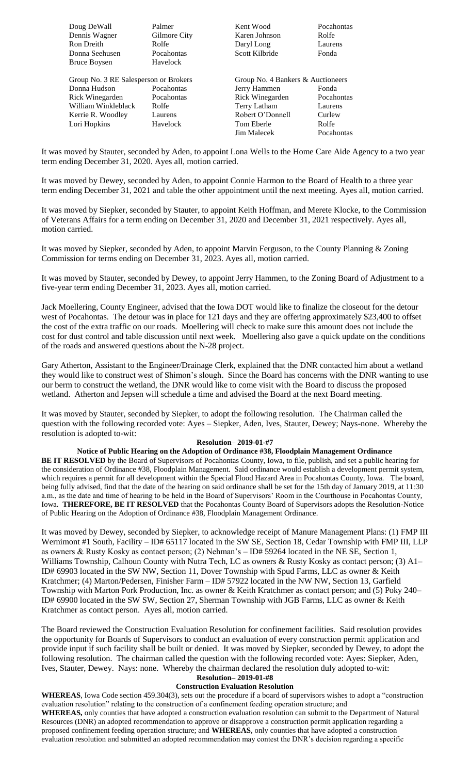Doug DeWall Palmer Rent Wood Pocahontas Dennis Wagner Gilmore City Karen Johnson Rolfe Ron Dreith **Rolfe** Rolfe **Daryl Long** Laurens Donna Seehusen Pocahontas Scott Kilbride Fonda Bruce Boysen Havelock

Group No. 3 RE Salesperson or Brokers Group No. 4 Bankers & Auctioneers Donna Hudson Pocahontas Jerry Hammen Fonda Rick Winegarden Pocahontas Rick Winegarden Pocahontas William Winkleblack Rolfe Terry Latham Laurens Kerrie R. Woodley Laurens Robert O'Donnell Lori Hopkins Havelock Tom Eberle Rolfe

Jim Malecek Pocahontas

It was moved by Stauter, seconded by Aden, to appoint Lona Wells to the Home Care Aide Agency to a two year term ending December 31, 2020. Ayes all, motion carried.

It was moved by Dewey, seconded by Aden, to appoint Connie Harmon to the Board of Health to a three year term ending December 31, 2021 and table the other appointment until the next meeting. Ayes all, motion carried.

It was moved by Siepker, seconded by Stauter, to appoint Keith Hoffman, and Merete Klocke, to the Commission of Veterans Affairs for a term ending on December 31, 2020 and December 31, 2021 respectively. Ayes all, motion carried.

It was moved by Siepker, seconded by Aden, to appoint Marvin Ferguson, to the County Planning & Zoning Commission for terms ending on December 31, 2023. Ayes all, motion carried.

It was moved by Stauter, seconded by Dewey, to appoint Jerry Hammen, to the Zoning Board of Adjustment to a five-year term ending December 31, 2023. Ayes all, motion carried.

Jack Moellering, County Engineer, advised that the Iowa DOT would like to finalize the closeout for the detour west of Pocahontas. The detour was in place for 121 days and they are offering approximately \$23,400 to offset the cost of the extra traffic on our roads. Moellering will check to make sure this amount does not include the cost for dust control and table discussion until next week. Moellering also gave a quick update on the conditions of the roads and answered questions about the N-28 project.

Gary Atherton, Assistant to the Engineer/Drainage Clerk, explained that the DNR contacted him about a wetland they would like to construct west of Shimon's slough. Since the Board has concerns with the DNR wanting to use our berm to construct the wetland, the DNR would like to come visit with the Board to discuss the proposed wetland. Atherton and Jepsen will schedule a time and advised the Board at the next Board meeting.

It was moved by Stauter, seconded by Siepker, to adopt the following resolution. The Chairman called the question with the following recorded vote: Ayes – Siepker, Aden, Ives, Stauter, Dewey; Nays-none. Whereby the resolution is adopted to-wit:

#### **Resolution– 2019-01-#7**

**Notice of Public Hearing on the Adoption of Ordinance #38, Floodplain Management Ordinance BE IT RESOLVED** by the Board of Supervisors of Pocahontas County, Iowa, to file, publish, and set a public hearing for the consideration of Ordinance #38, Floodplain Management. Said ordinance would establish a development permit system, which requires a permit for all development within the Special Flood Hazard Area in Pocahontas County, Iowa. The board, being fully advised, find that the date of the hearing on said ordinance shall be set for the 15th day of January 2019, at 11:30 a.m., as the date and time of hearing to be held in the Board of Supervisors' Room in the Courthouse in Pocahontas County, Iowa. **THEREFORE, BE IT RESOLVED** that the Pocahontas County Board of Supervisors adopts the Resolution-Notice of Public Hearing on the Adoption of Ordinance #38, Floodplain Management Ordinance.

It was moved by Dewey, seconded by Siepker, to acknowledge receipt of Manure Management Plans: (1) FMP III Wernimont #1 South, Facility – ID# 65117 located in the SW SE, Section 18, Cedar Township with FMP III, LLP as owners & Rusty Kosky as contact person; (2) Nehman's – ID# 59264 located in the NE SE, Section 1, Williams Township, Calhoun County with Nutra Tech, LC as owners & Rusty Kosky as contact person; (3) A1– ID# 69903 located in the SW NW, Section 11, Dover Township with Spud Farms, LLC as owner & Keith Kratchmer; (4) Marton/Pedersen, Finisher Farm – ID# 57922 located in the NW NW, Section 13, Garfield Township with Marton Pork Production, Inc. as owner & Keith Kratchmer as contact person; and (5) Poky 240– ID# 69900 located in the SW SW, Section 27, Sherman Township with JGB Farms, LLC as owner & Keith Kratchmer as contact person. Ayes all, motion carried.

The Board reviewed the Construction Evaluation Resolution for confinement facilities. Said resolution provides the opportunity for Boards of Supervisors to conduct an evaluation of every construction permit application and provide input if such facility shall be built or denied. It was moved by Siepker, seconded by Dewey, to adopt the following resolution. The chairman called the question with the following recorded vote: Ayes: Siepker, Aden, Ives, Stauter, Dewey. Nays: none. Whereby the chairman declared the resolution duly adopted to-wit:

#### **Resolution– 2019-01-#8 Construction Evaluation Resolution**

**WHEREAS**, Iowa Code section 459.304(3), sets out the procedure if a board of supervisors wishes to adopt a "construction evaluation resolution" relating to the construction of a confinement feeding operation structure; and **WHEREAS,** only counties that have adopted a construction evaluation resolution can submit to the Department of Natural Resources (DNR) an adopted recommendation to approve or disapprove a construction permit application regarding a proposed confinement feeding operation structure; and **WHEREAS**, only counties that have adopted a construction evaluation resolution and submitted an adopted recommendation may contest the DNR's decision regarding a specific